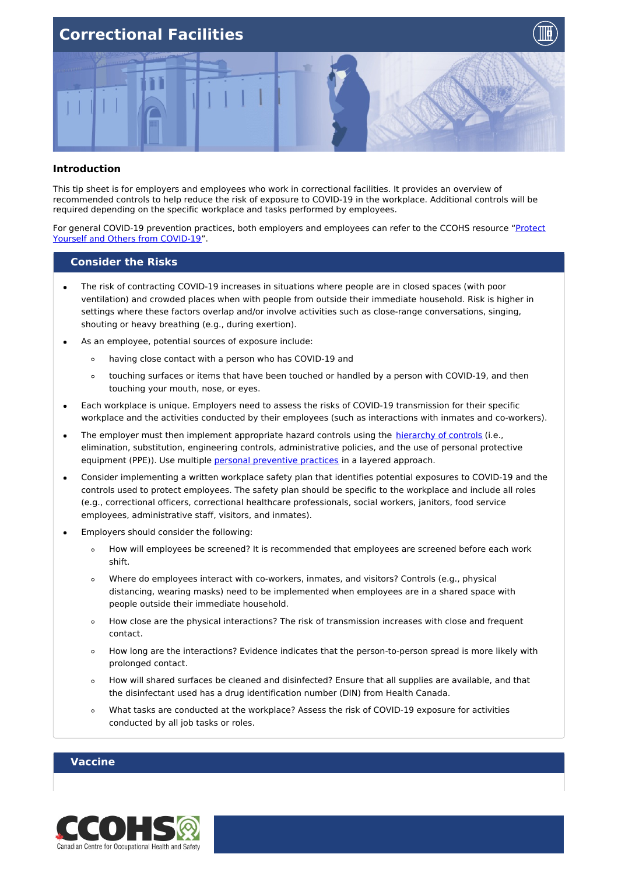



#### **Introduction**

This tip sheet is for employers and employees who work in correctional facilities. It provides an overview of recommended controls to help reduce the risk of exposure to COVID-19 in the workplace. Additional controls will be required depending on the specific workplace and tasks performed by employees.

For general COVID-19 prevention practices, both employers and employees can refer to the CCOHS resource "Protect Yourself and Others from [COVID-19".](https://www.ccohs.ca/covid19/protect-yourself/)

#### **Consider the Risks**

- The risk of contracting COVID-19 increases in situations where people are in closed spaces (with poor  $\bullet$ ventilation) and crowded places when with people from outside their immediate household. Risk is higher in settings where these factors overlap and/or involve activities such as close-range conversations, singing, shouting or heavy breathing (e.g., during exertion).
- As an employee, potential sources of exposure include:
	- $\circ$ having close contact with a person who has COVID-19 and
	- touching surfaces or items that have been touched or handled by a person with COVID-19, and then touching your mouth, nose, or eyes.
- Each workplace is unique. Employers need to assess the risks of COVID-19 transmission for their specific workplace and the activities conducted by their employees (such as interactions with inmates and co-workers).
- The employer must then implement appropriate hazard controls using the [hierarchy](https://www.ccohs.ca/products/posters/covid-hierarchy/) of controls (i.e., elimination, substitution, engineering controls, administrative policies, and the use of personal protective equipment (PPE)). Use multiple personal [preventive](https://www.canada.ca/en/public-health/services/diseases/2019-novel-coronavirus-infection/prevention-risks.html#p) practices in a layered approach.
- Consider implementing a written workplace safety plan that identifies potential exposures to COVID-19 and the controls used to protect employees. The safety plan should be specific to the workplace and include all roles (e.g., correctional officers, correctional healthcare professionals, social workers, janitors, food service employees, administrative staff, visitors, and inmates).
- Employers should consider the following:
	- How will employees be screened? It is recommended that employees are screened before each work  $\circ$ shift.
	- Where do employees interact with co-workers, inmates, and visitors? Controls (e.g., physical  $\circ$ distancing, wearing masks) need to be implemented when employees are in a shared space with people outside their immediate household.
	- How close are the physical interactions? The risk of transmission increases with close and frequent  $\circ$ contact.
	- How long are the interactions? Evidence indicates that the person-to-person spread is more likely with  $\circ$ prolonged contact.
	- How will shared surfaces be cleaned and disinfected? Ensure that all supplies are available, and that  $\circ$ the disinfectant used has a drug identification number (DIN) from Health Canada.
	- What tasks are conducted at the workplace? Assess the risk of COVID-19 exposure for activities  $\circ$ conducted by all job tasks or roles.

#### **Vaccine**

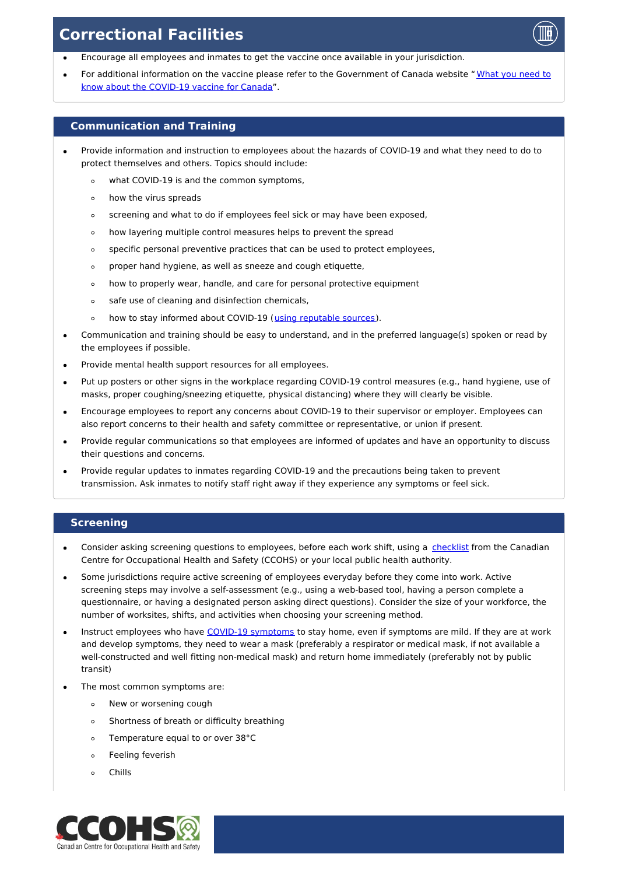- Encourage all employees and inmates to get the vaccine once available in your jurisdiction.
- For additional information on the vaccine please refer to the [Government](https://www.canada.ca/en/public-health/services/diseases/2019-novel-coronavirus-infection/awareness-resources/know-vaccine.html) of Canada website " What you need to know about the COVID-19 vaccine for Canada".

#### **Communication and Training**

- Provide information and instruction to employees about the hazards of COVID-19 and what they need to do to protect themselves and others. Topics should include:
	- what COVID-19 is and the common symptoms,  $\circ$
	- how the virus spreads  $\circ$
	- screening and what to do if employees feel sick or may have been exposed,  $\circ$
	- how layering multiple control measures helps to prevent the spread  $\circ$
	- specific personal preventive practices that can be used to protect employees,  $\circ$
	- proper hand hygiene, as well as sneeze and cough etiquette,  $\circ$
	- how to properly wear, handle, and care for personal protective equipment  $\circ$
	- safe use of cleaning and disinfection chemicals,  $\circ$
	- $\circ$ how to stay informed about COVID-19 (using [reputable](https://www.ccohs.ca/products/publications/covid19-fact-checking/) sources).
- Communication and training should be easy to understand, and in the preferred language(s) spoken or read by the employees if possible.
- Provide mental health support resources for all employees.
- Put up posters or other signs in the workplace regarding COVID-19 control measures (e.g., hand hygiene, use of masks, proper coughing/sneezing etiquette, physical distancing) where they will clearly be visible.
- Encourage employees to report any concerns about COVID-19 to their supervisor or employer. Employees can also report concerns to their health and safety committee or representative, or union if present.
- Provide regular communications so that employees are informed of updates and have an opportunity to discuss their questions and concerns.
- Provide regular updates to inmates regarding COVID-19 and the precautions being taken to prevent transmission. Ask inmates to notify staff right away if they experience any symptoms or feel sick.

#### **Screening**

- Consider asking screening questions to employees, before each work shift, using a [checklist](https://www.ccohs.ca/images/products/pandemiccovid19/pdf/covid-screen-tool.pdf) from the Canadian Centre for Occupational Health and Safety (CCOHS) or your local public health authority.
- Some jurisdictions require active screening of employees everyday before they come into work. Active screening steps may involve a self-assessment (e.g., using a web-based tool, having a person complete a questionnaire, or having a designated person asking direct questions). Consider the size of your workforce, the number of worksites, shifts, and activities when choosing your screening method.
- Instruct employees who have COVID-19 [symptoms](https://www.canada.ca/en/public-health/services/diseases/2019-novel-coronavirus-infection/symptoms.html#s) to stay home, even if symptoms are mild. If they are at work and develop symptoms, they need to wear a mask (preferably a respirator or medical mask, if not available a well-constructed and well fitting non-medical mask) and return home immediately (preferably not by public transit)
- The most common symptoms are:
	- New or worsening cough  $\circ$
	- Shortness of breath or difficulty breathing  $\circ$
	- Temperature equal to or over 38°C  $\circ$
	- Feeling feverish  $\circ$
	- Chills

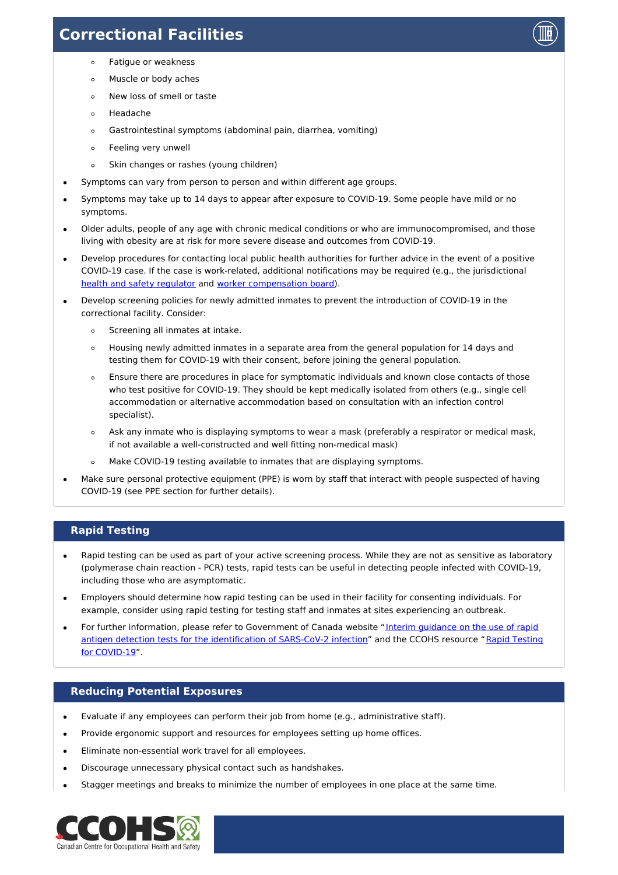

- Fatigue or weakness  $\circ$
- Muscle or body aches  $\circ$
- New loss of smell or taste  $\circ$
- Headache  $\circ$
- $\circ$ Gastrointestinal symptoms (abdominal pain, diarrhea, vomiting)
- Feeling very unwell  $\circ$
- Skin changes or rashes (young children)  $\circ$
- Symptoms can vary from person to person and within different age groups.  $\bullet$
- Symptoms may take up to 14 days to appear after exposure to COVID-19. Some people have mild or no symptoms.
- Older adults, people of any age with chronic medical conditions or who are immunocompromised, and those  $\bullet$ living with obesity are at risk for more severe disease and outcomes from COVID-19.
- $\bullet$ Develop procedures for contacting local public health authorities for further advice in the event of a positive COVID-19 case. If the case is work-related, additional notifications may be required (e.g., the jurisdictional health and safety [regulator](https://www.ccohs.ca/oshanswers/information/govt.html) and worker [compensation](https://www.ccohs.ca/oshanswers/information/wcb_canada.html) board).
- Develop screening policies for newly admitted inmates to prevent the introduction of COVID-19 in the correctional facility. Consider:
	- Screening all inmates at intake.  $\circ$
	- Housing newly admitted inmates in a separate area from the general population for 14 days and  $\circ$ testing them for COVID-19 with their consent, before joining the general population.
	- Ensure there are procedures in place for symptomatic individuals and known close contacts of those  $\circ$ who test positive for COVID-19. They should be kept medically isolated from others (e.g., single cell accommodation or alternative accommodation based on consultation with an infection control specialist).
	- Ask any inmate who is displaying symptoms to wear a mask (preferably a respirator or medical mask,  $\circ$ if not available a well-constructed and well fitting non-medical mask)
	- Make COVID-19 testing available to inmates that are displaying symptoms.  $\circ$
- Make sure personal protective equipment (PPE) is worn by staff that interact with people suspected of having COVID-19 (see PPE section for further details).

## **Rapid Testing**

- Rapid testing can be used as part of your active screening process. While they are not as sensitive as laboratory  $\bullet$ (polymerase chain reaction - PCR) tests, rapid tests can be useful in detecting people infected with COVID-19, including those who are asymptomatic.
- Employers should determine how rapid testing can be used in their facility for consenting individuals. For example, consider using rapid testing for testing staff and inmates at sites experiencing an outbreak.
- For further information, please refer to Government of Canada website "Interim guidance on the use of rapid antigen detection tests for the [identification](https://www.ccohs.ca/covid19/rapid-testing/) of SARS-CoV-2 infection" and the CCOHS resource "Rapid Testing for COVID-19".

## **Reducing Potential Exposures**

- Evaluate if any employees can perform their job from home (e.g., administrative staff).
- Provide ergonomic support and resources for employees setting up home offices.
- Eliminate non-essential work travel for all employees.
- Discourage unnecessary physical contact such as handshakes.
- Stagger meetings and breaks to minimize the number of employees in one place at the same time.

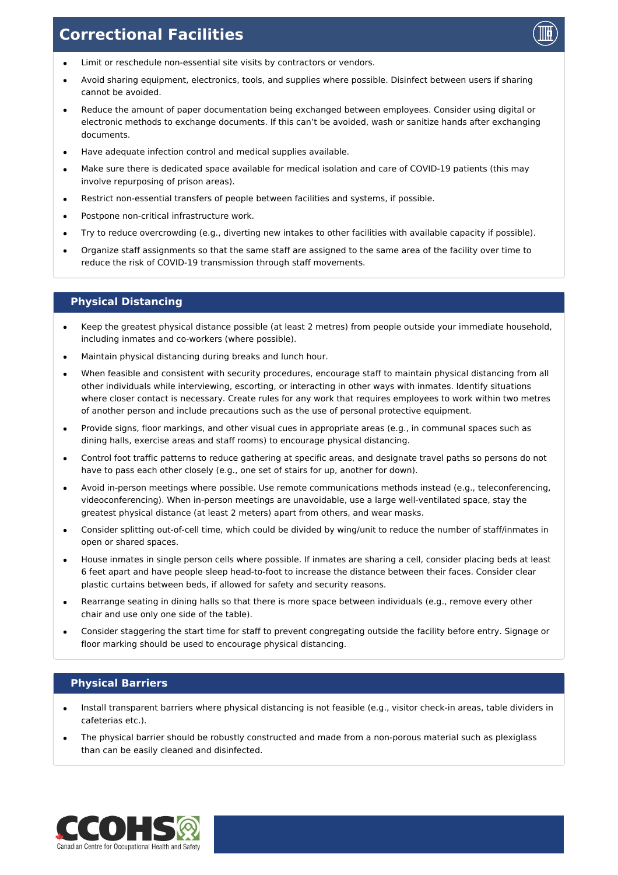

- Limit or reschedule non-essential site visits by contractors or vendors.
- Avoid sharing equipment, electronics, tools, and supplies where possible. Disinfect between users if sharing cannot be avoided.
- Reduce the amount of paper documentation being exchanged between employees. Consider using digital or electronic methods to exchange documents. If this can't be avoided, wash or sanitize hands after exchanging documents.
- Have adequate infection control and medical supplies available.
- Make sure there is dedicated space available for medical isolation and care of COVID-19 patients (this may involve repurposing of prison areas).
- Restrict non-essential transfers of people between facilities and systems, if possible.
- Postpone non-critical infrastructure work.
- Try to reduce overcrowding (e.g., diverting new intakes to other facilities with available capacity if possible).
- Organize staff assignments so that the same staff are assigned to the same area of the facility over time to reduce the risk of COVID-19 transmission through staff movements.

### **Physical Distancing**

- Keep the greatest physical distance possible (at least 2 metres) from people outside your immediate household,  $\bullet$ including inmates and co-workers (where possible).
- Maintain physical distancing during breaks and lunch hour.
- When feasible and consistent with security procedures, encourage staff to maintain physical distancing from all other individuals while interviewing, escorting, or interacting in other ways with inmates. Identify situations where closer contact is necessary. Create rules for any work that requires employees to work within two metres of another person and include precautions such as the use of personal protective equipment.
- Provide signs, floor markings, and other visual cues in appropriate areas (e.g., in communal spaces such as dining halls, exercise areas and staff rooms) to encourage physical distancing.
- Control foot traffic patterns to reduce gathering at specific areas, and designate travel paths so persons do not have to pass each other closely (e.g., one set of stairs for up, another for down).
- Avoid in-person meetings where possible. Use remote communications methods instead (e.g., teleconferencing, videoconferencing). When in-person meetings are unavoidable, use a large well-ventilated space, stay the greatest physical distance (at least 2 meters) apart from others, and wear masks.
- Consider splitting out-of-cell time, which could be divided by wing/unit to reduce the number of staff/inmates in  $\bullet$ open or shared spaces.
- House inmates in single person cells where possible. If inmates are sharing a cell, consider placing beds at least 6 feet apart and have people sleep head-to-foot to increase the distance between their faces. Consider clear plastic curtains between beds, if allowed for safety and security reasons.
- Rearrange seating in dining halls so that there is more space between individuals (e.g., remove every other  $\bullet$ chair and use only one side of the table).
- Consider staggering the start time for staff to prevent congregating outside the facility before entry. Signage or floor marking should be used to encourage physical distancing.

## **Physical Barriers**

- Install transparent barriers where physical distancing is not feasible (e.g., visitor check-in areas, table dividers in cafeterias etc.).
- The physical barrier should be robustly constructed and made from a non-porous material such as plexiglass than can be easily cleaned and disinfected.

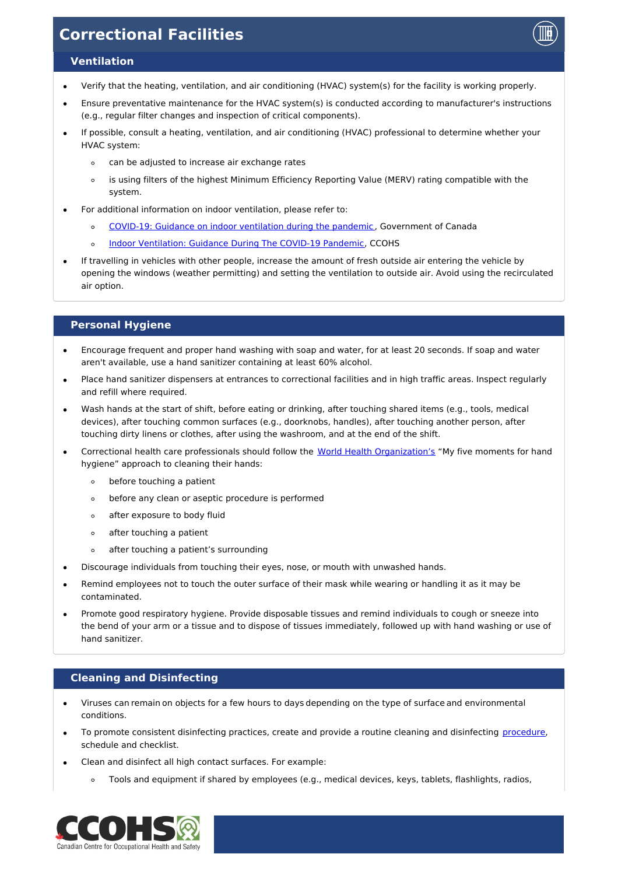

#### **Ventilation**

- Verify that the heating, ventilation, and air conditioning (HVAC) system(s) for the facility is working properly.
- Ensure preventative maintenance for the HVAC system(s) is conducted according to manufacturer's instructions (e.g., regular filter changes and inspection of critical components).
- If possible, consult a heating, ventilation, and air conditioning (HVAC) professional to determine whether your HVAC system:
	- can be adjusted to increase air exchange rates  $\circ$
	- is using filters of the highest Minimum Efficiency Reporting Value (MERV) rating compatible with the  $\circ$ system.
- For additional information on indoor ventilation, please refer to:
	- COVID-19: Guidance on indoor [ventilation](https://www.canada.ca/en/public-health/services/diseases/2019-novel-coronavirus-infection/guidance-documents/guide-indoor-ventilation-covid-19-pandemic.html) during the pandemic , Government of Canada  $\circ$
	- Indoor [Ventilation:](https://www.ccohs.ca/covid19/indoor-ventilation/) Guidance During The COVID-19 Pandemic, CCOHS  $\circ$
- If travelling in vehicles with other people, increase the amount of fresh outside air entering the vehicle by opening the windows (weather permitting) and setting the ventilation to outside air. Avoid using the recirculated air option.

## **Personal Hygiene**

- Encourage frequent and proper hand washing with soap and water, for at least 20 seconds. If soap and water aren't available, use a hand sanitizer containing at least 60% alcohol.
- Place hand sanitizer dispensers at entrances to correctional facilities and in high traffic areas. Inspect regularly and refill where required.
- Wash hands at the start of shift, before eating or drinking, after touching shared items (e.g., tools, medical devices), after touching common surfaces (e.g., doorknobs, handles), after touching another person, after touching dirty linens or clothes, after using the washroom, and at the end of the shift.
- Correctional health care professionals should follow the World Health [Organization's](https://www.who.int/gpsc/tools/Five_moments/en/) "My five moments for hand hygiene" approach to cleaning their hands:
	- $\circ$ before touching a patient
	- $\circ$ before any clean or aseptic procedure is performed
	- $\circ$ after exposure to body fluid
	- after touching a patient  $\circ$
	- $\circ$ after touching a patient's surrounding
- Discourage individuals from touching their eyes, nose, or mouth with unwashed hands.
- Remind employees not to touch the outer surface of their mask while wearing or handling it as it may be contaminated.
- Promote good respiratory hygiene. Provide disposable tissues and remind individuals to cough or sneeze into the bend of your arm or a tissue and to dispose of tissues immediately, followed up with hand washing or use of hand sanitizer.

## **Cleaning and Disinfecting**

- Viruses can remain on objects for a few hours to days depending on the type of surface and environmental conditions.
- To promote consistent disinfecting practices, create and provide a routine cleaning and disinfecting [procedure](https://www.ccohs.ca/covid19/disinfect-touchpoints/), schedule and checklist.
	- Clean and disinfect all high contact surfaces. For example:
		- Tools and equipment if shared by employees (e.g., medical devices, keys, tablets, flashlights, radios,  $\circ$

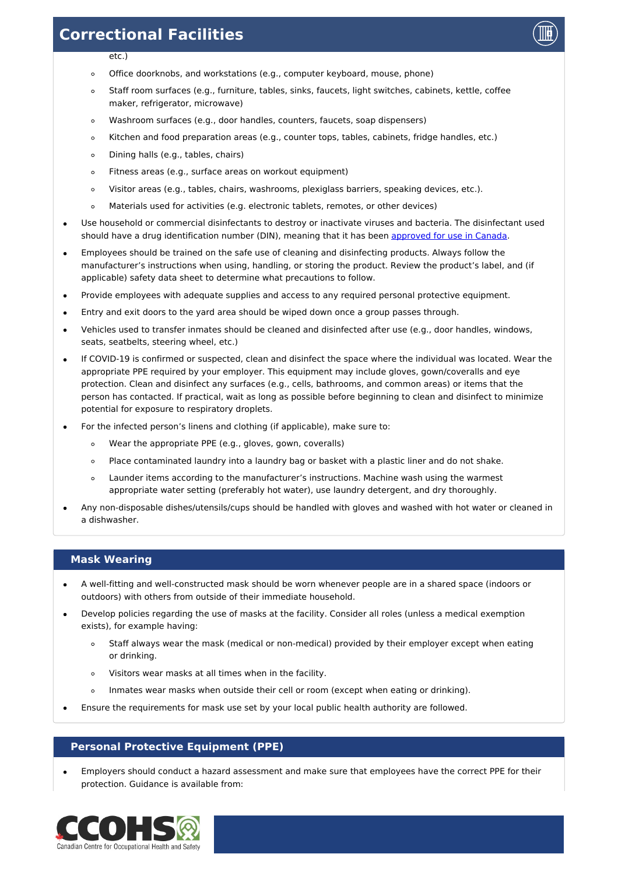

- $er<sub>l</sub>$
- Office doorknobs, and workstations (e.g., computer keyboard, mouse, phone)  $\circ$
- Staff room surfaces (e.g., furniture, tables, sinks, faucets, light switches, cabinets, kettle, coffee  $\circ$ maker, refrigerator, microwave)
- Washroom surfaces (e.g., door handles, counters, faucets, soap dispensers)  $\circ$
- Kitchen and food preparation areas (e.g., counter tops, tables, cabinets, fridge handles, etc.)  $\circ$
- Dining halls (e.g., tables, chairs)  $\circ$
- Fitness areas (e.g., surface areas on workout equipment)  $\circ$
- $\circ$ Visitor areas (e.g., tables, chairs, washrooms, plexiglass barriers, speaking devices, etc.).
- Materials used for activities (e.g. electronic tablets, remotes, or other devices)  $\circ$
- Use household or commercial disinfectants to destroy or inactivate viruses and bacteria. The disinfectant used should have a drug identification number (DIN), meaning that it has been [approved](https://www.canada.ca/en/health-canada/services/drugs-health-products/disinfectants/covid-19/list.html) for use in Canada.
- Employees should be trained on the safe use of cleaning and disinfecting products. Always follow the manufacturer's instructions when using, handling, or storing the product. Review the product's label, and (if applicable) safety data sheet to determine what precautions to follow.
- Provide employees with adequate supplies and access to any required personal protective equipment.
- Entry and exit doors to the yard area should be wiped down once a group passes through.
- Vehicles used to transfer inmates should be cleaned and disinfected after use (e.g., door handles, windows, seats, seatbelts, steering wheel, etc.)
- If COVID-19 is confirmed or suspected, clean and disinfect the space where the individual was located. Wear the appropriate PPE required by your employer. This equipment may include gloves, gown/coveralls and eye protection. Clean and disinfect any surfaces (e.g., cells, bathrooms, and common areas) or items that the person has contacted. If practical, wait as long as possible before beginning to clean and disinfect to minimize potential for exposure to respiratory droplets.
- For the infected person's linens and clothing (if applicable), make sure to:
	- Wear the appropriate PPE (e.g., gloves, gown, coveralls)  $\circ$
	- Place contaminated laundry into a laundry bag or basket with a plastic liner and do not shake.  $\circ$
	- Launder items according to the manufacturer's instructions. Machine wash using the warmest  $\circ$ appropriate water setting (preferably hot water), use laundry detergent, and dry thoroughly.
- Any non-disposable dishes/utensils/cups should be handled with gloves and washed with hot water or cleaned in a dishwasher.

## **Mask Wearing**

- A well-fitting and well-constructed mask should be worn whenever people are in a shared space (indoors or outdoors) with others from outside of their immediate household.
- Develop policies regarding the use of masks at the facility. Consider all roles (unless a medical exemption exists), for example having:
	- Staff always wear the mask (medical or non-medical) provided by their employer except when eating or drinking.
	- $\circ$ Visitors wear masks at all times when in the facility.
	- $\circ$ Inmates wear masks when outside their cell or room (except when eating or drinking).
- Ensure the requirements for mask use set by your local public health authority are followed.

## **Personal Protective Equipment (PPE)**

Employers should conduct a hazard assessment and make sure that employees have the correct PPE for their protection. Guidance is available from:

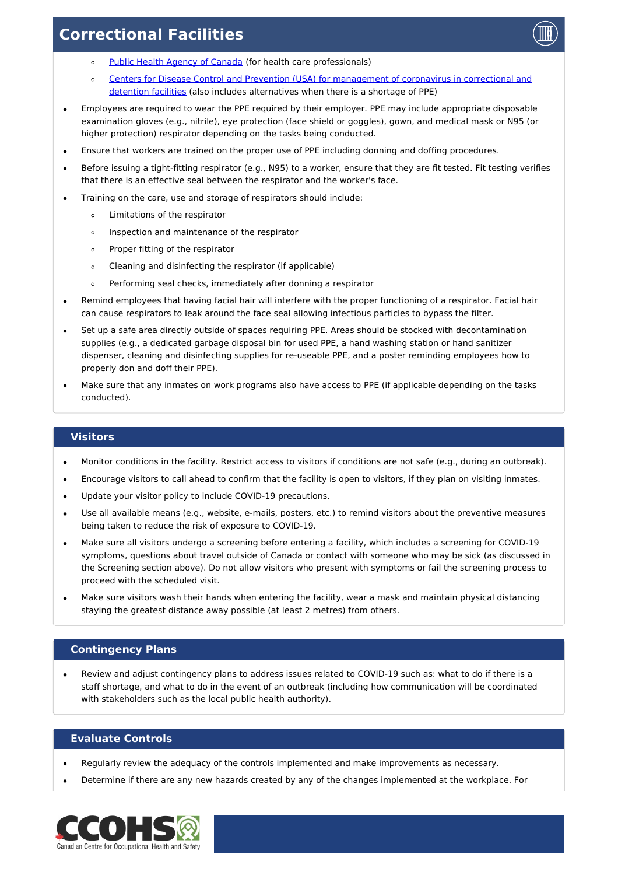

- Public Health Agency of [Canada](https://www.canada.ca/en/public-health/services/diseases/2019-novel-coronavirus-infection/health-professionals.html) (for health care professionals)  $\circ$
- Centers for Disease Control and Prevention (USA) for [management](https://www.cdc.gov/coronavirus/2019-ncov/community/correction-detention/index.html) of coronavirus in correctional and  $\circ$ detention facilities (also includes alternatives when there is a shortage of PPE)
- Employees are required to wear the PPE required by their employer. PPE may include appropriate disposable examination gloves (e.g., nitrile), eye protection (face shield or goggles), gown, and medical mask or N95 (or higher protection) respirator depending on the tasks being conducted.
- Ensure that workers are trained on the proper use of PPE including donning and doffing procedures.
- Before issuing a tight-fitting respirator (e.g., N95) to a worker, ensure that they are fit tested. Fit testing verifies that there is an effective seal between the respirator and the worker's face.
- Training on the care, use and storage of respirators should include:
	- Limitations of the respirator  $\circ$
	- Inspection and maintenance of the respirator  $\circ$
	- Proper fitting of the respirator  $\circ$
	- Cleaning and disinfecting the respirator (if applicable)  $\circ$
	- Performing seal checks, immediately after donning a respirator  $\circ$
- Remind employees that having facial hair will interfere with the proper functioning of a respirator. Facial hair can cause respirators to leak around the face seal allowing infectious particles to bypass the filter.
- Set up a safe area directly outside of spaces requiring PPE. Areas should be stocked with decontamination supplies (e.g., a dedicated garbage disposal bin for used PPE, a hand washing station or hand sanitizer dispenser, cleaning and disinfecting supplies for re-useable PPE, and a poster reminding employees how to properly don and doff their PPE).
- Make sure that any inmates on work programs also have access to PPE (if applicable depending on the tasks conducted).

#### **Visitors**

- Monitor conditions in the facility. Restrict access to visitors if conditions are not safe (e.g., during an outbreak).  $\bullet$
- Encourage visitors to call ahead to confirm that the facility is open to visitors, if they plan on visiting inmates.
- Update your visitor policy to include COVID-19 precautions.
- Use all available means (e.g., website, e-mails, posters, etc.) to remind visitors about the preventive measures being taken to reduce the risk of exposure to COVID-19.
- Make sure all visitors undergo a screening before entering a facility, which includes a screening for COVID-19 symptoms, questions about travel outside of Canada or contact with someone who may be sick (as discussed in the Screening section above). Do not allow visitors who present with symptoms or fail the screening process to proceed with the scheduled visit.
- Make sure visitors wash their hands when entering the facility, wear a mask and maintain physical distancing staying the greatest distance away possible (at least 2 metres) from others.

## **Contingency Plans**

Review and adjust contingency plans to address issues related to COVID-19 such as: what to do if there is a staff shortage, and what to do in the event of an outbreak (including how communication will be coordinated with stakeholders such as the local public health authority).

#### **Evaluate Controls**

- Regularly review the adequacy of the controls implemented and make improvements as necessary.
- Determine if there are any new hazards created by any of the changes implemented at the workplace. For